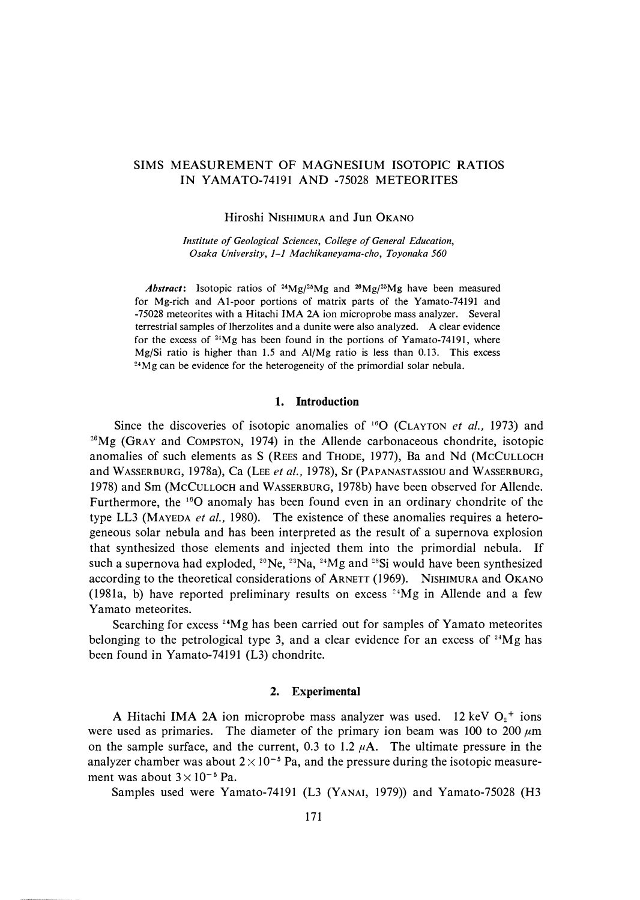# SIMS MEASUREMENT OF MAGNESIUM ISOTOPIC RATIOS IN YAMAT0-74191 AND -75028 METEORITES

### Hiroshi NISHIMURA and Jun OKANO

*Institute of Geological Sciences, College of General Education, Osaka University, 1-1 Machikaneyama-cho, Toyonaka 560* 

*Abstract:* Isotopic ratios of **24**Mg/**<sup>2</sup>5**Mg and **26**Mg/**<sup>25</sup>**Mg have been measured for Mg-rich and Al-poor portions of matrix parts of the Yamato-74191 and -75028 meteorites with a Hitachi IMA 2A ion microprobe mass analyzer. Several terrestrial samples of lherzolites and a dunite were also analyzed. A clear evidence for the excess of <sup>24</sup>Mg has been found in the portions of Yamato-74191, where Mg/Si ratio is higher than 1.5 and Al/Mg ratio is less than 0.13. This excess <sup>24</sup>Mg can be evidence for the heterogeneity of the primordial solar nebula.

### **1. Introduction**

Since the discoveries of isotopic anomalies of <sup>16</sup>0 (CLAYTON *et al.,* 1973) and **<sup>26</sup>**Mg (GRAY and COMPSTON, 1974) in the Allende carbonaceous chondrite, isotopic anomalies of such elements as S (REES and THODE, 1977), Ba and Nd (McCULLOCH and WASSERBURG, 1978a), Ca (LEE *et al.,* 1978), Sr (PAPANASTASSIOU and WASSERBURG, 1978) and Sm (McCULLOCH and WASSERBURG, 1978b) have been observed for Allende. Furthermore, the <sup>16</sup>O anomaly has been found even in an ordinary chondrite of the type LL3 (MAYEDA *et al.,* 1980). The existence of these anomalies requires a heterogeneous solar nebula and has been interpreted as the result of a supernova explosion that synthesized those elements and injected them into the primordial nebula. If such a supernova had exploded,  $2^{\circ}$ Ne,  $2^{\circ}$ Na,  $2^{\circ}$ Mg and  $2^{\circ}$ Si would have been synthesized according to the theoretical considerations of ARNETT (1969). NISHIMURA and OKANO (1981a, b) have reported preliminary results on excess  $24\text{Mg}$  in Allende and a few Yamato meteorites.

Searching for excess  $24Mg$  has been carried out for samples of Yamato meteorites belonging to the petrological type 3, and a clear evidence for an excess of  $24Mg$  has been found in Yamato-74191 (L3) chondrite.

### **2. Experimental**

A Hitachi IMA 2A ion microprobe mass analyzer was used. 12 keV  $O_2$ <sup>+</sup> ions were used as primaries. The diameter of the primary ion beam was 100 to 200  $\mu$ m on the sample surface, and the current, 0.3 to 1.2  $\mu$ A. The ultimate pressure in the analyzer chamber was about  $2 \times 10^{-5}$  Pa, and the pressure during the isotopic measurement was about  $3 \times 10^{-5}$  Pa.

Samples used were Yamato-74191 (L3 (YANAI, 1979)) and Yamato-75028 (H3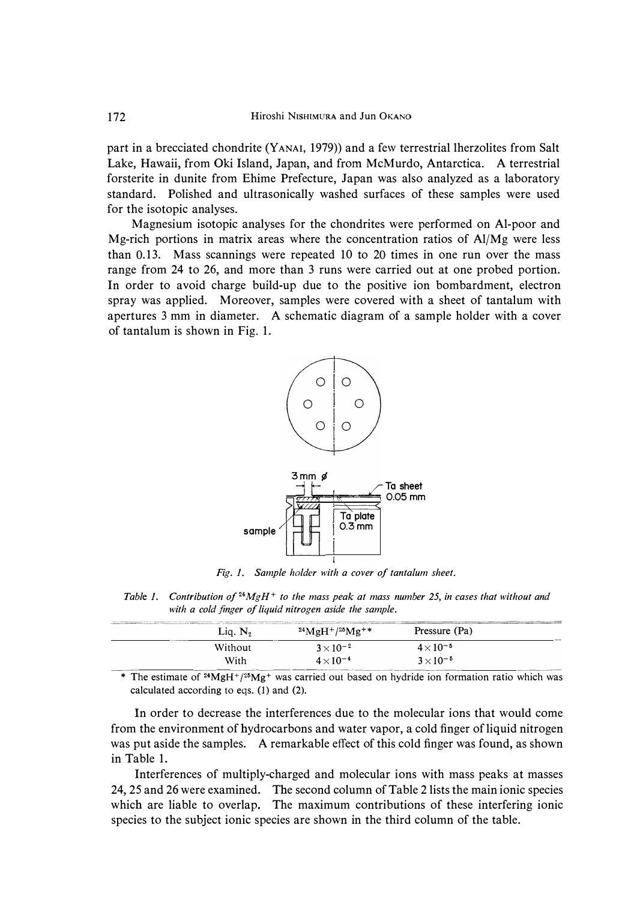**part in a brecciated chondrite (YANAI, 1979)) and a few terrestrial lherzolites from Salt Lake, Hawaii, from Oki Island, Japan, and from McMurdo, Antarctica. A terrestrial forsterite in dunite from Ehime Prefecture, Japan was also analyzed as a laboratory standard. Polished and ultrasonically washed surfaces of these samples were used for the isotopic analyses.** 

**Magnesium isotopic analyses for the chondrites were performed on Al-poor and Mg-rich portions in matrix areas where the concentration ratios of Al/Mg were less than 0.13. Mass scannings were repeated 10 to 20 times in one run over the mass range from 24 to 26, and more than 3 runs were carried out at one probed portion. In order to avoid charge build-up due to the positive ion bombardment, electron spray was applied. Moreover, samples were covered with a sheet of tantalum with apertures 3 mm in diameter. A schematic diagram of a sample holder with a cover of tantalum is shown in Fig. 1.** 



*Fig. I. Sample holder with a cover of tantalum sheet.* 

*Table I. Contribution of <sup>24</sup>MgH<sup>+</sup>to the mass peak at mass number 25, in cases that without and with a cold finger of liquid nitrogen aside the sample.* 

| Lia. N, | THE RESIDENCE IN THE RESIDENCE OF THE RESIDENCE OF THE RESIDENCE OF THE RESIDENCE OF THE RESIDENCE OF THE RESIDENCE IN THE RESIDENCE OF THE RESIDENCE OF THE RESIDENCE OF THE RESIDENCE OF THE RESIDENCE OF THE RESIDENCE OF T<br>$^{24}{\rm MgH^{+}}/{^{25}{\rm Mg^{++}}}$ | Pressure (Pa)      |  |
|---------|-----------------------------------------------------------------------------------------------------------------------------------------------------------------------------------------------------------------------------------------------------------------------------|--------------------|--|
| Without | $3 \times 10^{-2}$                                                                                                                                                                                                                                                          | $4 \times 10^{-5}$ |  |
| With    | $4 \times 10^{-4}$                                                                                                                                                                                                                                                          | $3 \times 10^{-5}$ |  |

\* The estimate of <sup>24</sup>MgH<sup>+</sup>/<sup>25</sup>Mg<sup>+</sup> was carried out based on hydride ion formation ratio which was calculated according to eqs. (1) and (2).

**In order to decrease the interferences due to the molecular ions that would come from the environment of hydrocarbons and water vapor, a cold finger of liquid nitrogen was put aside the samples. A remarkable effect of this cold finger was found, as shown in Table 1.** 

**Interferences of multiply-charged and molecular ions with mass peaks at masses 24, 25 and 26 were examined. The second column of Table 2 lists the main ionic species which are liable to overlap. The maximum contributions of these interfering ionic species to the subject ionic species are shown in the third column of the table.**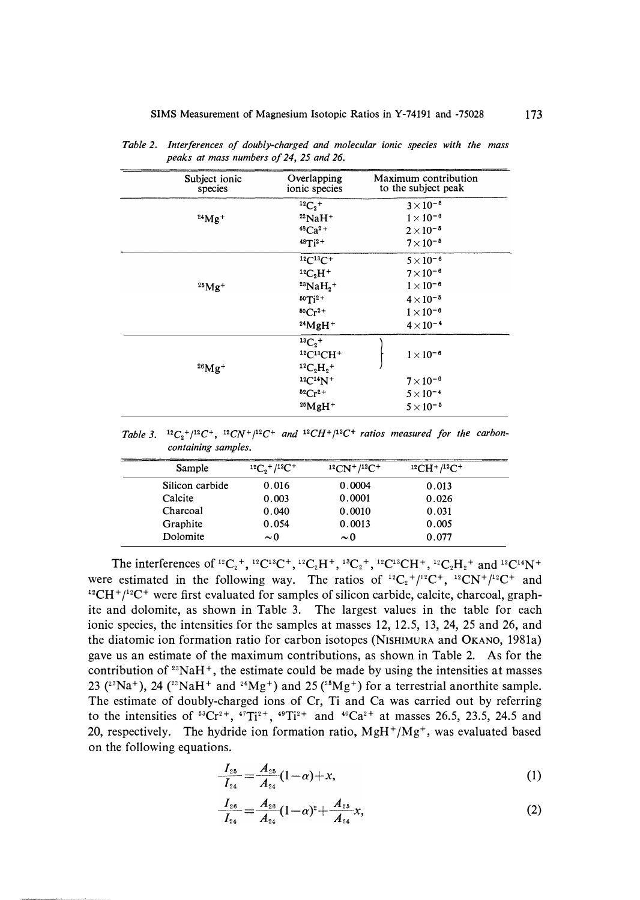| Subject ionic<br>species | Overlapping<br>ionic species                                 | Maximum contribution<br>to the subject peak |
|--------------------------|--------------------------------------------------------------|---------------------------------------------|
|                          | ${}^{12}C_2{}^+$                                             | $3\times10^{-5}$                            |
| $^{24}Mg +$              | $^{22}$ NaH <sup>+</sup>                                     | $1 \times 10^{-8}$                          |
|                          | $48Ca2+$                                                     | $2 \times 10^{-5}$                          |
|                          | $48Ti^2$ +                                                   | $7\times10^{-5}$                            |
|                          | $12C^{13}C+$                                                 | $5 \times 10^{-6}$                          |
|                          | ${}^{12}C_2H^+$                                              | $7 \times 10^{-6}$                          |
| $^{25}Mg +$              | $^{23}NaH_2^+$                                               | $1 \times 10^{-6}$                          |
|                          | $^{50}Ti^{2+}$                                               | $4 \times 10^{-5}$                          |
|                          | ${}^{50}Cr^{2+}$                                             | $1 \times 10^{-6}$                          |
|                          | $24$ MgH <sup>+</sup>                                        | $4 \times 10^{-4}$                          |
| $^{26}Mg +$              | ${}^{13}C_2{}^+$<br>$^{12}C^{13}CH^+$<br>${}^{12}C_2H_2{}^+$ | $1\times10^{-6}$                            |
|                          | $12C14N+$                                                    | $7 \times 10^{-6}$                          |
|                          | ${}^{52}Cr^{2+}$                                             | $5 \times 10^{-4}$                          |
|                          | $^{25}MgH +$                                                 | $5 \times 10^{-5}$                          |

*Table 2. Interferences of doubly-charged and molecular ionic species with the mass peaks at mass numbers of 24, 25 and 26.* 

*Table 3.*  $^{12}C_2^+ / ^{12}C^+$ ,  $^{12}CN^+ / ^{12}C^+$  and  $^{12}CH^+ / ^{12}C^+$  ratios measured for the carbon*containing samples.* 

| Sample          | $12C_2^+$ / $12C^+$ | $12CN^{+}/12C^{+}$ | $^{12}CH+ / ^{12}C+$ |  |
|-----------------|---------------------|--------------------|----------------------|--|
| Silicon carbide | 0.016               | 0.0004             | 0.013                |  |
| Calcite         | 0.003               | 0.0001             | 0.026                |  |
| Charcoal        | 0.040               | 0.0010             | 0.031                |  |
| Graphite        | 0.054               | 0.0013             | 0.005                |  |
| Dolomite        | $\sim$ 0            | $\sim 0$           | 0.077                |  |

The interferences of <sup>12</sup>C<sub>2</sub><sup>+</sup>, <sup>12</sup>C<sup>13</sup>C<sup>+</sup>, <sup>12</sup>C<sub>2</sub>H<sup>+</sup>, <sup>13</sup>C<sub>2</sub><sup>+</sup>, <sup>12</sup>C<sup>13</sup>CH<sup>+</sup>, <sup>12</sup>C<sub>2</sub>H<sub>2</sub><sup>+</sup> and <sup>12</sup>C<sup>14</sup>N<sup>+</sup> were estimated in the following way. The ratios of  ${}^{12}C_2{}^{+}/{}^{12}C^+$ ,  ${}^{12}CN{}^{+}/{}^{12}C^+$  and **<sup>12</sup>CH**<sup>+</sup>**/** 12**c**+ **were first evaluated for samples of silicon carbide, calcite, charcoal, graphite and dolomite, as shown in Table 3. The largest values in the table for each ionic species, the intensities for the samples at masses 12, 12.5, 13, 24, 25 and 26, and the diatomic ion formation ratio for carbon isotopes (NISHIMURA and OKANO, 1981a) gave us an estimate of the maximum contributions, as shown in Table 2. As for the contribution of** 23**NaH**<sup>+</sup> **, the estimate could be made by using the intensities at masses**   $23$  (<sup>23</sup>Na<sup>+</sup>), 24 (<sup>22</sup>NaH<sup>+</sup> and <sup>24</sup>Mg<sup>+</sup>) and 25 (<sup>25</sup>Mg<sup>+</sup>) for a terrestrial anorthite sample. **The estimate of doubly-charged ions of Cr, Ti and Ca was carried out by referring**  to the intensities of  ${}^{53}Cr^{2+}$ ,  ${}^{47}Ti^{2+}$ ,  ${}^{49}Ti^{2+}$  and  ${}^{40}Ca^{2+}$  at masses 26.5, 23.5, 24.5 and **20, respectively. The hydride ion formation ratio, MgH**<sup>+</sup>**/Mg**<sup>+</sup> **, was evaluated based on the following equations.** 

$$
\frac{I_{25}}{I_{24}} = \frac{A_{25}}{A_{24}}(1-\alpha) + x,\tag{1}
$$

$$
\frac{I_{26}}{I_{24}} = \frac{A_{26}}{A_{24}}(1-\alpha)^2 + \frac{A_{25}}{A_{24}}x,\tag{2}
$$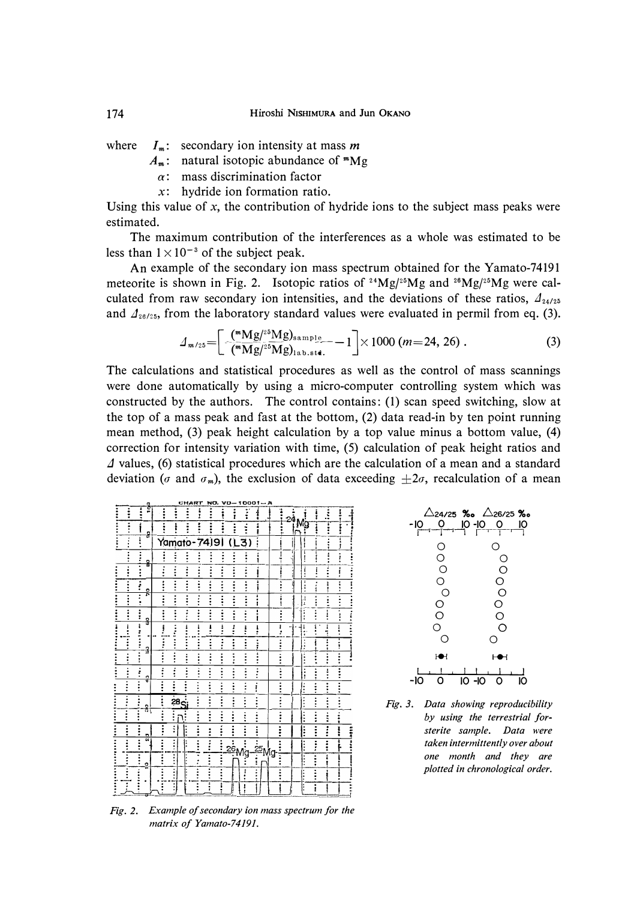where  $I_m$ : secondary ion intensity at mass *m* 

 $A_m$ : natural isotopic abundance of  $^m$ Mg

- **a: mass discrimination factor**
- *x:* **hydride ion formation ratio.**

**Using this value of** *x,* **the contribution of hydride ions to the subject mass peaks were estimated.** 

**The maximum contribution of the interferences as a whole was estimated to be**  less than  $1 \times 10^{-3}$  of the subject peak.

**An example of the secondary ion mass spectrum obtained for the Yamato-74191 meteorite is shown in Fig. 2. Isotopic ratios of <sup>2</sup> <sup>4</sup>Mgj**2**<sup>5</sup>Mg and 26Mg/**2**<sup>5</sup>Mg were cal**culated from raw secondary ion intensities, and the deviations of these ratios,  $\Lambda_{24/25}$ and  $\Lambda_{26/25}$ , from the laboratory standard values were evaluated in permil from eq. (3).

$$
\mathcal{A}_{m/25} = \left[ \frac{(\sqrt[m]{\text{Mg}})^{25} \text{Mg})_{\text{sample}}}{(\sqrt[m]{\text{Mg}})^{25} \text{Mg})_{\text{lab.5}} \text{Hg}} - 1 \right] \times 1000 \ (m = 24, 26) \ . \tag{3}
$$

**The calculations and statistical procedures as well as the control of mass scannings were done automatically by using a micro-computer controlling system which was constructed by the authors. The control contains: (1) scan speed switching, slow at the top of a mass peak and fast at the bottom, (2) data read-in by ten point running mean method, (3) peak height calculation by a top value minus a bottom value, (4) correction for intensity variation with time, (5) calculation of peak height ratios and L1 values, (6) statistical procedures which are the calculation of a mean and a standard**  deviation ( $\sigma$  and  $\sigma_m$ ), the exclusion of data exceeding  $\pm 2\sigma$ , recalculation of a mean



 $\triangle$ 24/25 ‰  $\triangle$ 26/25 ‰ -10 0 10-10 0 10 I <sup>I</sup>I I **I** r----r--r--'I  $\Omega$ 0 0 0 0 0 0 0 0 0 0 0 0 0 0  $\circ$  0 **J--e-1** i-e; I , I , I t , 1 , J -JO O 10 -10 0 10

*Fig. 3. Data showing reproducibility by using the terrestrial Jorsterite sample. Data were taken intermittently over about one month and they are plotted in chronological order.* 

*Fig. 2. Example of secondary ion mass spectrum for the matrix of Yamato-74191.*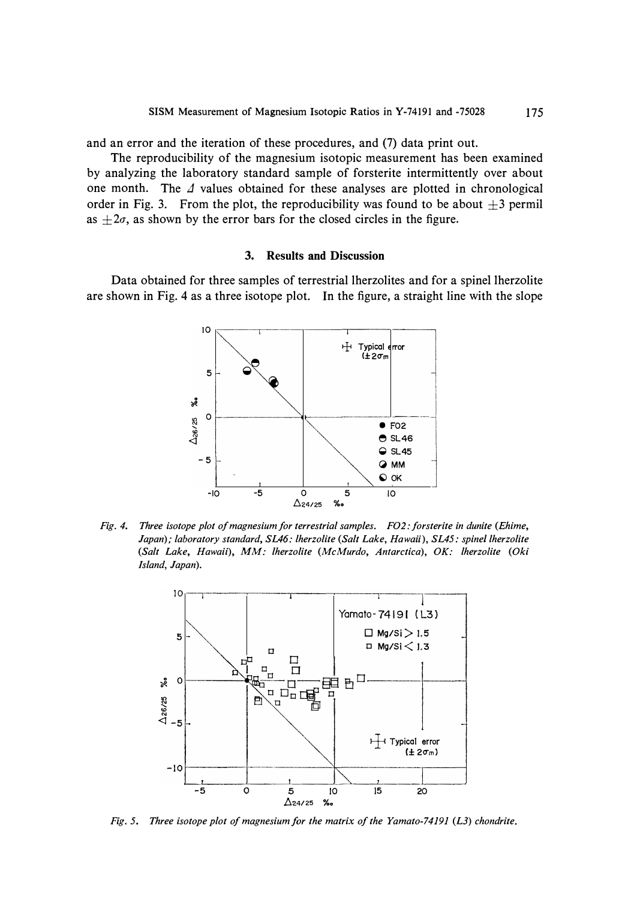and an error and the iteration of these procedures, and (7) data print out.

The reproducibility of the magnesium isotopic measurement has been examined by analyzing the laboratory standard sample of forsterite intermittently over about one month. The  $\Delta$  values obtained for these analyses are plotted in chronological order in Fig. 3. From the plot, the reproducibility was found to be about  $\pm 3$  permil as  $\pm 2\sigma$ , as shown by the error bars for the closed circles in the figure.

## **3. Results and Discussion**

Data obtained for three samples of terrestrial lherzolites and for a spine! lherzolite are shown in Fig. 4 as a three isotope plot. In the figure, a straight line with the slope



*Fig. 4. Three isotope plot of magnesium for terrestrial samples. F02: forsterite in dunite (Ehime, Japan); laboratory standard, SLA6: lherzolite (Salt Lake, Hawaii), SL45: spine! lherzolite (Salt Lake, Hawaii), MM: lherzolite (McMurdo, Antarctica), OK: lherzolite (Oki Island, Japan).* 



*Fig. 5. Three isotope plot of magnesium for the matrix of the Yamato-74191 (L3) chondrite.*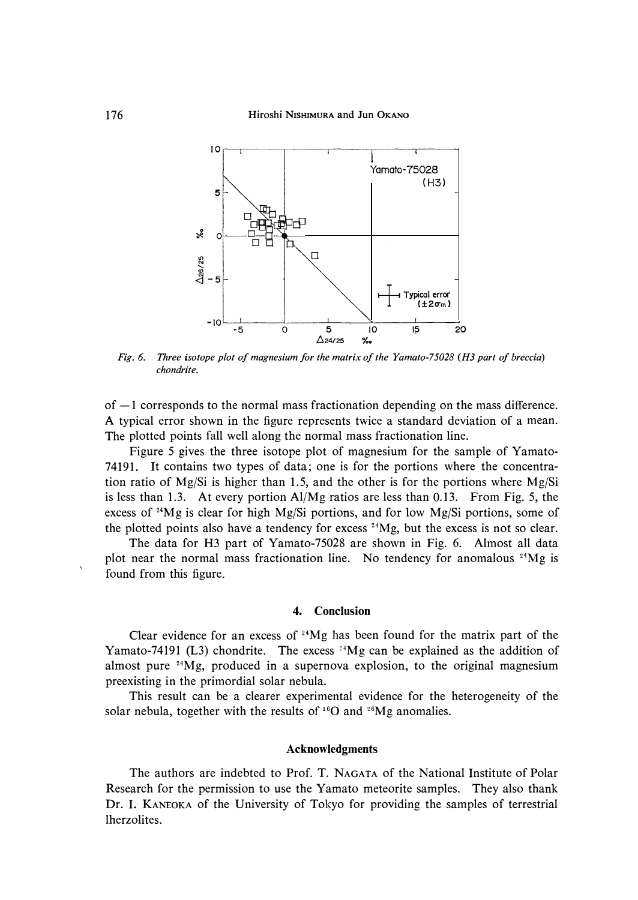

*Fig. 6. Three isotope plot of magnesium for the matrix of the Yamato-75028 (HJ part of breccia) chondrite.* 

of  $-1$  corresponds to the normal mass fractionation depending on the mass difference. **A typical error shown in the figure represents twice a standard deviation of a mean. The plotted points fall well along the normal mass fractionation line.** 

**Figure 5 gives the three isotope plot of magnesium for the sample of Yamato-74191. It contains two types of data; one is for the portions where the concentration ratio of Mg/Si is higher than 1.5, and the other is for the portions where Mg/Si is less than 1.3. At every portion Al/Mg ratios are less than 0.13. From Fig. 5, the excess of** 24**Mg is clear for high Mg/Si portions, and for low Mg/Si portions, some of the plotted points also have a tendency for excess** 24**Mg, but the excess is not so clear.** 

**The data for H3 part of Yamato-75028 are shown in Fig. 6. Almost all data plot near the normal mass fractionation line. No tendency for anomalous** 24**Mg is found from this figure.** 

## **4. Conclusion**

**Clear evidence for an excess of** 24 **Mg has been found for the matrix part of the Yamato-74191 (L3) chondrite. The excess <sup>24</sup>Mg can be explained as the addition of almost pure** 24**Mg, produced in a supernova explosion, to the original magnesium preexisting in the primordial solar nebula.** 

**This result can be a clearer experimental evidence for the heterogeneity of the solar nebula, together with the results of** 16**0 and** 26**Mg anomalies.** 

#### **Acknowledgments**

**The authors are indebted to Prof. T. NAGATA of the National Institute of Polar Research for the permission to use the Yamato meteorite samples. They also thank Dr. I. KANEOKA of the University of Tokyo for providing the samples of terrestrial lherzolites.**